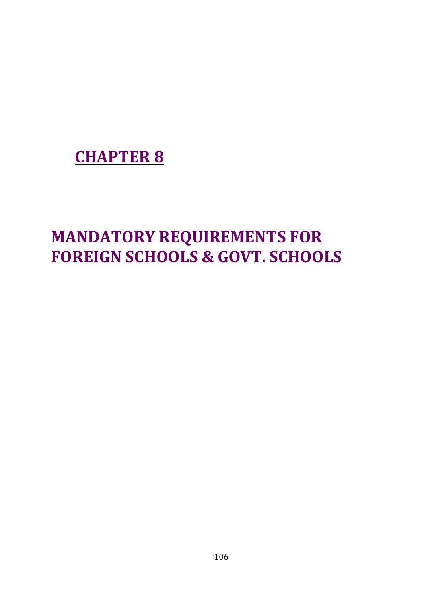## **CHAPTER 8**

# **MANDATORY REQUIREMENTS FOR FOREIGN SCHOOLS & GOVT. SCHOOLS**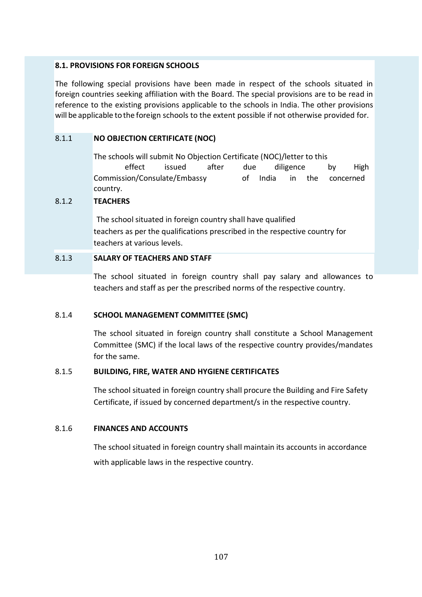#### **8.1. PROVISIONS FOR FOREIGN SCHOOLS**

The following special provisions have been made in respect of the schools situated in foreign countries seeking affiliation with the Board. The special provisions are to be read in reference to the existing provisions applicable to the schools in India. The other provisions will be applicable to the foreign schools to the extent possible if not otherwise provided for.

#### 8.1.1 **NO OBJECTION CERTIFICATE (NOC)**

The schools will submit No Objection Certificate (NOC)/letter to this effect issued after due diligence by High Commission/Consulate/Embassy of India in the concerned country.

#### 8.1.2 **TEACHERS**

The school situated in foreign country shall have qualified teachers as per the qualifications prescribed in the respective country for teachers at various levels.

#### 8.1.3 **SALARY OF TEACHERS AND STAFF**

The school situated in foreign country shall pay salary and allowances to teachers and staff as per the prescribed norms of the respective country.

#### 8.1.4 **SCHOOL MANAGEMENT COMMITTEE (SMC)**

The school situated in foreign country shall constitute a School Management Committee (SMC) if the local laws of the respective country provides/mandates for the same.

#### 8.1.5 **BUILDING, FIRE, WATER AND HYGIENE CERTIFICATES**

The school situated in foreign country shall procure the Building and Fire Safety Certificate, if issued by concerned department/s in the respective country.

#### 8.1.6 **FINANCES AND ACCOUNTS**

The school situated in foreign country shall maintain its accounts in accordance with applicable laws in the respective country.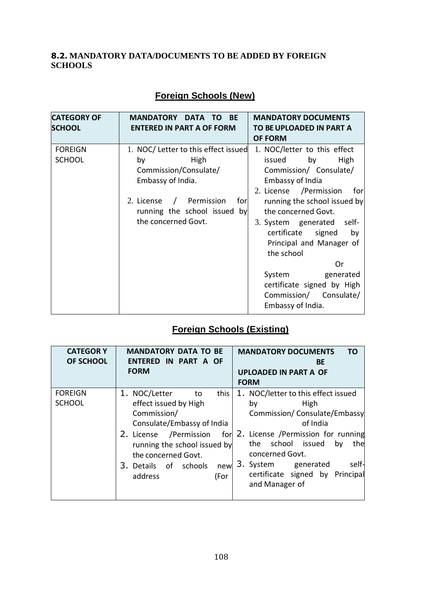#### **8.2. MANDATORY DATA/DOCUMENTS TO BE ADDED BY FOREIGN SCHOOLS**

| <b>Foreign Schools (New)</b> |  |
|------------------------------|--|
|                              |  |

| <b>CATEGORY OF</b><br><b>SCHOOL</b> | <b>MANDATORY</b><br><b>DATA</b><br><b>BE</b><br>TO.<br><b>ENTERED IN PART A OF FORM</b>                                                                                                                     | <b>MANDATORY DOCUMENTS</b><br>TO BE UPLOADED IN PART A<br><b>OF FORM</b>                                                                                                                                                                                                                                                                                                                                           |
|-------------------------------------|-------------------------------------------------------------------------------------------------------------------------------------------------------------------------------------------------------------|--------------------------------------------------------------------------------------------------------------------------------------------------------------------------------------------------------------------------------------------------------------------------------------------------------------------------------------------------------------------------------------------------------------------|
| <b>FOREIGN</b><br><b>SCHOOL</b>     | 1. NOC/Letter to this effect issued<br>High<br>by<br>Commission/Consulate/<br>Embassy of India.<br>Permission<br>2. License<br>forl<br>$\frac{1}{2}$<br>running the school issued by<br>the concerned Govt. | 1. NOC/letter to this effect<br>issued<br>High<br>by<br>Commission/ Consulate/<br><b>Embassy of India</b><br>2. License / Permission<br>for<br>running the school issued by<br>the concerned Govt.<br>3. System generated<br>self-<br>certificate signed<br>by<br>Principal and Manager of<br>the school<br>Or<br>System<br>generated<br>certificate signed by High<br>Commission/ Consulate/<br>Embassy of India. |

## **Foreign Schools (Existing)**

| <b>CATEGORY</b><br><b>OF SCHOOL</b> | <b>MANDATORY DATA TO BE</b><br>ENTERED IN PART A OF<br><b>FORM</b>                                                                                                                                                                            | <b>MANDATORY DOCUMENTS</b><br>ΤO<br>BE<br><b>UPLOADED IN PART A OF</b><br><b>FORM</b>                                                                                                                                                                                                  |
|-------------------------------------|-----------------------------------------------------------------------------------------------------------------------------------------------------------------------------------------------------------------------------------------------|----------------------------------------------------------------------------------------------------------------------------------------------------------------------------------------------------------------------------------------------------------------------------------------|
| <b>FOREIGN</b><br><b>SCHOOL</b>     | 1. NOC/Letter<br>this<br>to<br>effect issued by High<br>Commission/<br>Consulate/Embassy of India<br>2. License /Permission<br>forl<br>running the school issued by<br>the concerned Govt.<br>3. Details of schools<br>new<br>address<br>(For | 1. NOC/letter to this effect issued<br>High<br>by<br>Commission/Consulate/Embassy<br>of India<br>2. License /Permission for running<br>school<br>issued<br>the<br>by<br>the<br>concerned Govt.<br>self-<br>3. System<br>generated<br>certificate signed by Principal<br>and Manager of |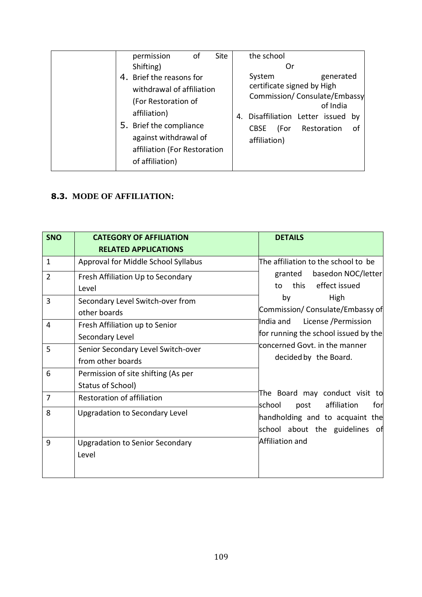| permission<br>оf<br>Shifting)                                                                                                                                                                       | <b>Site</b> | the school<br>Or                                                                                                                                                                                       |
|-----------------------------------------------------------------------------------------------------------------------------------------------------------------------------------------------------|-------------|--------------------------------------------------------------------------------------------------------------------------------------------------------------------------------------------------------|
| 4. Brief the reasons for<br>withdrawal of affiliation<br>(For Restoration of<br>affiliation)<br>5. Brief the compliance<br>against withdrawal of<br>affiliation (For Restoration<br>of affiliation) |             | generated<br>System<br>certificate signed by High<br>Commission/ Consulate/Embassy<br>of India<br>Disaffiliation Letter issued<br>4.<br>bv<br>Restoration<br><b>CBSE</b><br>(For<br>οf<br>affiliation) |

#### **8.3. MODE OF AFFILIATION:**

| <b>SNO</b>     | <b>CATEGORY OF AFFILIATION</b><br><b>RELATED APPLICATIONS</b> | <b>DETAILS</b>                                                            |
|----------------|---------------------------------------------------------------|---------------------------------------------------------------------------|
| 1              | Approval for Middle School Syllabus                           | The affiliation to the school to be                                       |
| $\overline{2}$ | Fresh Affiliation Up to Secondary<br>Level                    | basedon NOC/letter<br>granted<br>this effect issued<br>to                 |
| 3              | Secondary Level Switch-over from<br>other boards              | by<br>High<br>Commission/ Consulate/Embassy of                            |
| 4              | Fresh Affiliation up to Senior<br>Secondary Level             | License / Permission<br>India and<br>for running the school issued by the |
| 5              | Senior Secondary Level Switch-over<br>from other boards       | concerned Govt. in the manner<br>decided by the Board.                    |
| 6              | Permission of site shifting (As per<br>Status of School)      |                                                                           |
| $\overline{7}$ | Restoration of affiliation                                    | The Board may conduct visit to<br>school<br>affiliation<br>for<br>post    |
| 8              | <b>Upgradation to Secondary Level</b>                         | handholding and to acquaint the<br>school about the guidelines of         |
| 9              | <b>Upgradation to Senior Secondary</b><br>Level               | Affiliation and                                                           |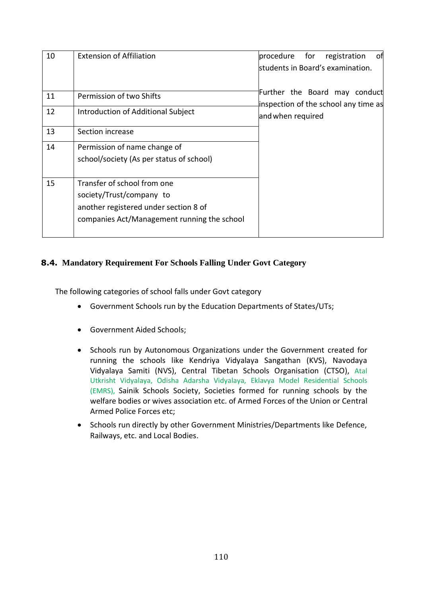| 10 | <b>Extension of Affiliation</b>                                                                                                                 | procedure<br>for<br>оfі<br>registration<br>students in Board's examination. |
|----|-------------------------------------------------------------------------------------------------------------------------------------------------|-----------------------------------------------------------------------------|
| 11 | Permission of two Shifts                                                                                                                        | Further the Board may conduct<br>inspection of the school any time as       |
| 12 | Introduction of Additional Subject                                                                                                              | and when required                                                           |
| 13 | Section increase                                                                                                                                |                                                                             |
| 14 | Permission of name change of<br>school/society (As per status of school)                                                                        |                                                                             |
| 15 | Transfer of school from one<br>society/Trust/company to<br>another registered under section 8 of<br>companies Act/Management running the school |                                                                             |

#### **8.4. Mandatory Requirement For Schools Falling Under Govt Category**

The following categories of school falls under Govt category

- Government Schools run by the Education Departments of States/UTs;
- Government Aided Schools;
- Schools run by Autonomous Organizations under the Government created for running the schools like Kendriya Vidyalaya Sangathan (KVS), Navodaya Vidyalaya Samiti (NVS), Central Tibetan Schools Organisation (CTSO), Atal Utkrisht Vidyalaya, Odisha Adarsha Vidyalaya, Eklavya Model Residential Schools (EMRS), Sainik Schools Society, Societies formed for running schools by the welfare bodies or wives association etc. of Armed Forces of the Union or Central Armed Police Forces etc;
- Schools run directly by other Government Ministries/Departments like Defence, Railways, etc. and Local Bodies.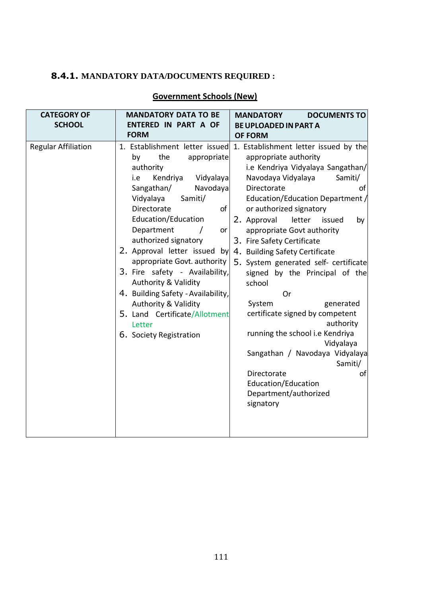## **8.4.1. MANDATORY DATA/DOCUMENTS REQUIRED :**

### **Government Schools (New)**

| <b>CATEGORY OF</b><br><b>SCHOOL</b> | <b>MANDATORY DATA TO BE</b><br><b>ENTERED IN PART A OF</b>                                                                                                                                                                                                                                                                                                                                                                                                                                                                    | <b>MANDATORY</b><br><b>DOCUMENTS TO</b><br><b>BE UPLOADED IN PART A</b>                                                                                                                                                                                                                                                                                                                                                                                                                                                                                                                                                                                                                                                                                           |
|-------------------------------------|-------------------------------------------------------------------------------------------------------------------------------------------------------------------------------------------------------------------------------------------------------------------------------------------------------------------------------------------------------------------------------------------------------------------------------------------------------------------------------------------------------------------------------|-------------------------------------------------------------------------------------------------------------------------------------------------------------------------------------------------------------------------------------------------------------------------------------------------------------------------------------------------------------------------------------------------------------------------------------------------------------------------------------------------------------------------------------------------------------------------------------------------------------------------------------------------------------------------------------------------------------------------------------------------------------------|
| <b>Regular Affiliation</b>          | <b>FORM</b><br>the<br>by<br>appropriate<br>authority<br>Kendriya<br>Vidyalaya<br>i.e<br>Sangathan/<br>Navodaya<br>Vidyalaya<br>Samiti/<br>Directorate<br>of<br>Education/Education<br>Department<br>or<br>$\prime$<br>authorized signatory<br>2. Approval letter issued by<br>appropriate Govt. authority<br>3. Fire safety - Availability,<br><b>Authority &amp; Validity</b><br>4. Building Safety - Availability,<br><b>Authority &amp; Validity</b><br>5. Land Certificate/Allotment<br>Letter<br>6. Society Registration | <b>OF FORM</b><br>1. Establishment letter issued 1. Establishment letter issued by the<br>appropriate authority<br>i.e Kendriya Vidyalaya Sangathan/<br>Navodaya Vidyalaya<br>Samiti/<br>Directorate<br>οf<br>Education/Education Department /<br>or authorized signatory<br>letter<br>2. Approval<br>issued<br>by<br>appropriate Govt authority<br>3. Fire Safety Certificate<br>4. Building Safety Certificate<br>5. System generated self- certificate<br>signed by the Principal of the<br>school<br>Or<br>System<br>generated<br>certificate signed by competent<br>authority<br>running the school i.e Kendriya<br>Vidyalaya<br>Sangathan / Navodaya Vidyalaya<br>Samiti/<br>Directorate<br>of<br>Education/Education<br>Department/authorized<br>signatory |
|                                     |                                                                                                                                                                                                                                                                                                                                                                                                                                                                                                                               |                                                                                                                                                                                                                                                                                                                                                                                                                                                                                                                                                                                                                                                                                                                                                                   |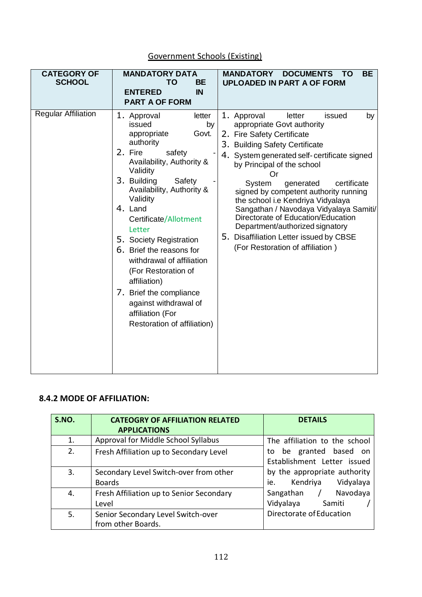| <b>CATEGORY OF</b><br><b>SCHOOL</b> | <b>MANDATORY DATA</b><br><b>BE</b><br><b>TO</b><br><b>ENTERED</b><br>IN<br><b>PART A OF FORM</b>                                                                                                                                                                                                                                                                                                                                                                                           | <b>MANDATORY</b><br><b>DOCUMENTS</b><br><b>BE</b><br><b>TO</b><br><b>UPLOADED IN PART A OF FORM</b>                                                                                                                                                                                                                                                                                                                                                                                                                                          |
|-------------------------------------|--------------------------------------------------------------------------------------------------------------------------------------------------------------------------------------------------------------------------------------------------------------------------------------------------------------------------------------------------------------------------------------------------------------------------------------------------------------------------------------------|----------------------------------------------------------------------------------------------------------------------------------------------------------------------------------------------------------------------------------------------------------------------------------------------------------------------------------------------------------------------------------------------------------------------------------------------------------------------------------------------------------------------------------------------|
| <b>Regular Affiliation</b>          | 1. Approval<br>letter<br>issued<br>by<br>Govt.<br>appropriate<br>authority<br>2. Fire<br>safety<br>Availability, Authority &<br>Validity<br>3. Building<br>Safety<br>Availability, Authority &<br>Validity<br>4. Land<br>Certificate/Allotment<br>Letter<br>5. Society Registration<br>6. Brief the reasons for<br>withdrawal of affiliation<br>(For Restoration of<br>affiliation)<br>7. Brief the compliance<br>against withdrawal of<br>affiliation (For<br>Restoration of affiliation) | 1. Approval<br>letter<br>issued<br>by<br>appropriate Govt authority<br>2. Fire Safety Certificate<br>3. Building Safety Certificate<br>4. System generated self-certificate signed<br>by Principal of the school<br>Or<br>certificate<br>System<br>generated<br>signed by competent authority running<br>the school i.e Kendriya Vidyalaya<br>Sangathan / Navodaya Vidyalaya Samiti/<br>Directorate of Education/Education<br>Department/authorized signatory<br>5. Disaffiliation Letter issued by CBSE<br>(For Restoration of affiliation) |

## Government Schools (Existing)

#### **8.4.2 MODE OF AFFILIATION:**

| S.NO. | <b>CATEOGRY OF AFFILIATION RELATED</b>   | <b>DETAILS</b>                |
|-------|------------------------------------------|-------------------------------|
|       | <b>APPLICATIONS</b>                      |                               |
| 1.    | Approval for Middle School Syllabus      | The affiliation to the school |
| 2.    | Fresh Affiliation up to Secondary Level  | to be granted based on        |
|       |                                          | Establishment Letter issued   |
| 3.    | Secondary Level Switch-over from other   | by the appropriate authority  |
|       | <b>Boards</b>                            | Kendriya Vidyalaya<br>ie.     |
| 4.    | Fresh Affiliation up to Senior Secondary | Navodaya<br>Sangathan /       |
|       | Level                                    | Vidyalaya Samiti              |
| 5.    | Senior Secondary Level Switch-over       | Directorate of Education      |
|       | from other Boards.                       |                               |